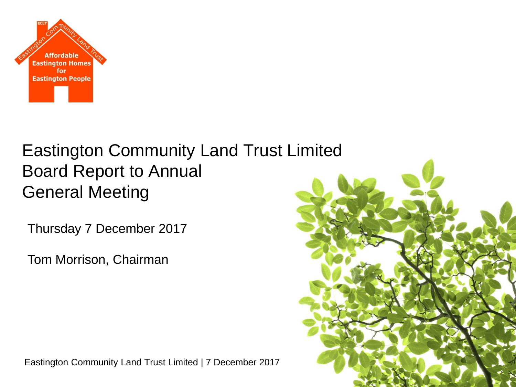

## Eastington Community Land Trust Limited Board Report to Annual General Meeting

Thursday 7 December 2017

Tom Morrison, Chairman



Eastington Community Land Trust Limited | 7 December 2017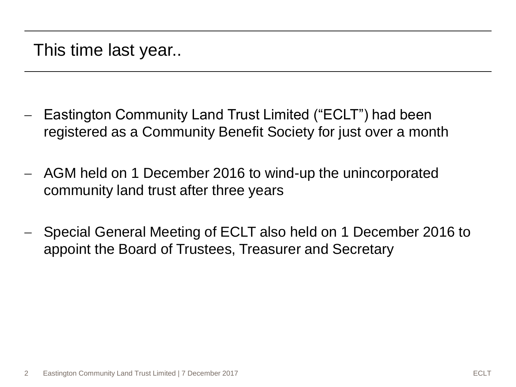- Eastington Community Land Trust Limited ("ECLT") had been registered as a Community Benefit Society for just over a month
- AGM held on 1 December 2016 to wind-up the unincorporated community land trust after three years
- Special General Meeting of ECLT also held on 1 December 2016 to appoint the Board of Trustees, Treasurer and Secretary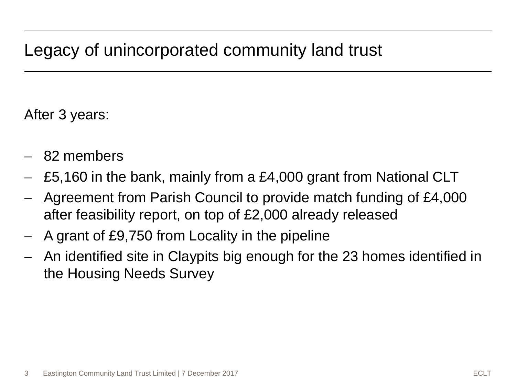## Legacy of unincorporated community land trust

After 3 years:

- 82 members
- £5,160 in the bank, mainly from a £4,000 grant from National CLT
- Agreement from Parish Council to provide match funding of £4,000 after feasibility report, on top of £2,000 already released
- A grant of £9,750 from Locality in the pipeline
- An identified site in Claypits big enough for the 23 homes identified in the Housing Needs Survey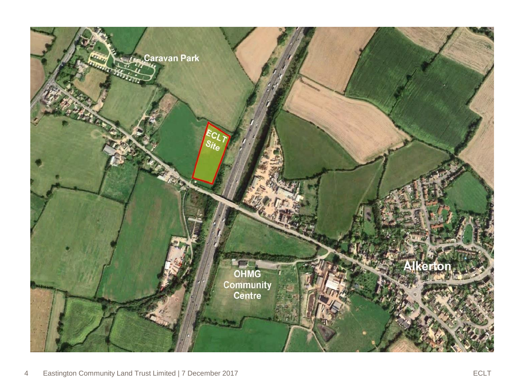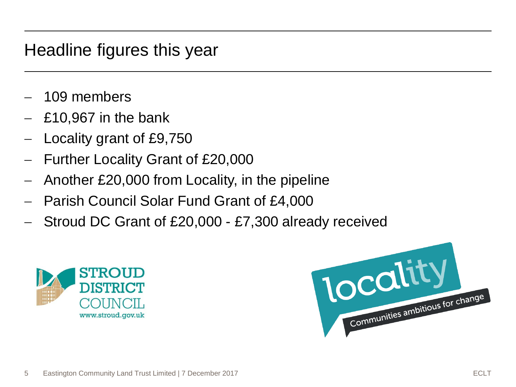## Headline figures this year

- 109 members
- £10,967 in the bank
- Locality grant of £9,750
- Further Locality Grant of £20,000
- Another £20,000 from Locality, in the pipeline
- Parish Council Solar Fund Grant of £4,000
- Stroud DC Grant of £20,000 £7,300 already received



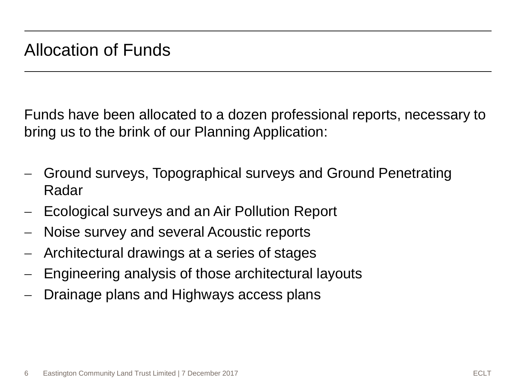Funds have been allocated to a dozen professional reports, necessary to bring us to the brink of our Planning Application:

- Ground surveys, Topographical surveys and Ground Penetrating Radar
- Ecological surveys and an Air Pollution Report
- Noise survey and several Acoustic reports
- Architectural drawings at a series of stages
- Engineering analysis of those architectural layouts
- Drainage plans and Highways access plans